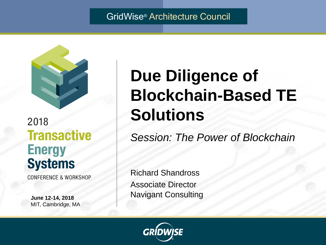#### GridWise® Architecture Council



#### 2018 **Transactive Energy Systems**

**CONFERENCE & WORKSHOP** 

**June 12-14, 2018** MIT, Cambridge, MA

# **Due Diligence of Blockchain-Based TE Solutions**

*Session: The Power of Blockchain*

Richard Shandross Associate Director Navigant Consulting

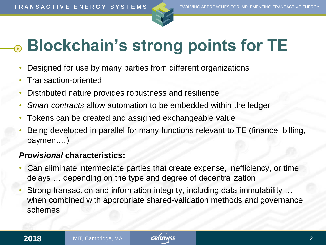



# **Blockchain's strong points for TE**

- Designed for use by many parties from different organizations
- Transaction-oriented
- Distributed nature provides robustness and resilience
- *Smart contracts* allow automation to be embedded within the ledger
- Tokens can be created and assigned exchangeable value
- Being developed in parallel for many functions relevant to TE (finance, billing, payment…)

#### *Provisional* **characteristics:**

- Can eliminate intermediate parties that create expense, inefficiency, or time delays … depending on the type and degree of decentralization
- Strong transaction and information integrity, including data immutability … when combined with appropriate shared-validation methods and governance schemes

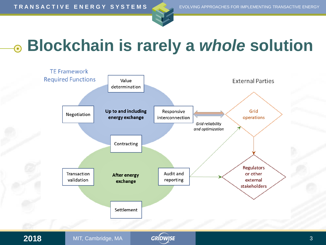



## **Blockchain is rarely a** *whole* **solution**



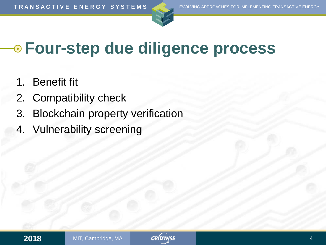



## **Four-step due diligence process**

- 1. Benefit fit
- 2. Compatibility check
- 3. Blockchain property verification
- 4. Vulnerability screening

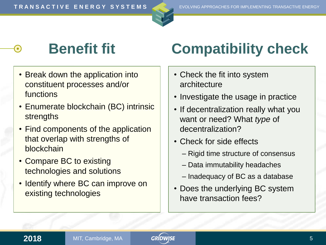

- Break down the application into constituent processes and/or functions
- Enumerate blockchain (BC) intrinsic strengths
- Find components of the application that overlap with strengths of blockchain
- Compare BC to existing technologies and solutions
- Identify where BC can improve on existing technologies

## **Benefit fit Compatibility check**

- Check the fit into system architecture
- Investigate the usage in practice
- If decentralization really what you want or need? What *type* of decentralization?
- Check for side effects
	- Rigid time structure of consensus
	- Data immutability headaches
	- Inadequacy of BC as a database
- Does the underlying BC system have transaction fees?